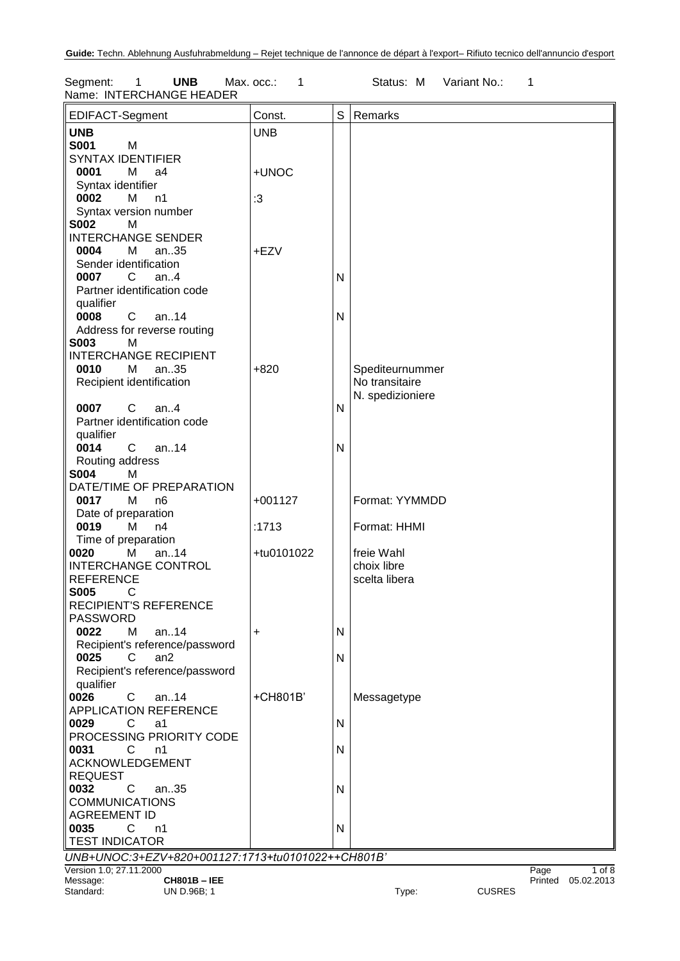Segment: 1 **UNB** Max. occ.: 1 Status: M Variant No.: 1 Name: INTERCHANGE HEADER

| EDIFACT-Segment                                   | Const.     | S            | Remarks          |               |         |            |
|---------------------------------------------------|------------|--------------|------------------|---------------|---------|------------|
| <b>UNB</b>                                        | <b>UNB</b> |              |                  |               |         |            |
| <b>S001</b><br>M                                  |            |              |                  |               |         |            |
| <b>SYNTAX IDENTIFIER</b>                          |            |              |                  |               |         |            |
| 0001<br>М<br>a4                                   | +UNOC      |              |                  |               |         |            |
| Syntax identifier                                 |            |              |                  |               |         |            |
| 0002<br>М<br>n1                                   | :3         |              |                  |               |         |            |
| Syntax version number                             |            |              |                  |               |         |            |
| <b>S002</b><br>M                                  |            |              |                  |               |         |            |
| <b>INTERCHANGE SENDER</b>                         |            |              |                  |               |         |            |
| 0004<br>M<br>an35                                 | +EZV       |              |                  |               |         |            |
| Sender identification                             |            |              |                  |               |         |            |
| 0007<br>$\overline{C}$<br>an. $4$                 |            | N            |                  |               |         |            |
| Partner identification code                       |            |              |                  |               |         |            |
| qualifier                                         |            |              |                  |               |         |            |
| 0008<br>$\mathbf{C}$<br>an14                      |            | $\mathsf{N}$ |                  |               |         |            |
| Address for reverse routing                       |            |              |                  |               |         |            |
| <b>S003</b><br>M                                  |            |              |                  |               |         |            |
| <b>INTERCHANGE RECIPIENT</b>                      |            |              |                  |               |         |            |
| 0010<br>М<br>an35                                 | $+820$     |              | Spediteurnummer  |               |         |            |
| Recipient identification                          |            |              | No transitaire   |               |         |            |
|                                                   |            |              | N. spedizioniere |               |         |            |
| 0007<br>$C$ an4                                   |            | N            |                  |               |         |            |
| Partner identification code                       |            |              |                  |               |         |            |
| qualifier                                         |            |              |                  |               |         |            |
| 0014<br>$\mathbf{C}$<br>an14                      |            | $\mathsf{N}$ |                  |               |         |            |
| Routing address                                   |            |              |                  |               |         |            |
| <b>S004</b><br>M                                  |            |              |                  |               |         |            |
| DATE/TIME OF PREPARATION                          |            |              |                  |               |         |            |
| 0017<br>M<br>n6                                   | $+001127$  |              | Format: YYMMDD   |               |         |            |
| Date of preparation                               |            |              |                  |               |         |            |
| 0019<br>M<br>n4                                   | :1713      |              | Format: HHMI     |               |         |            |
| Time of preparation                               |            |              |                  |               |         |            |
| an14<br>0020<br>M                                 | +tu0101022 |              | freie Wahl       |               |         |            |
| <b>INTERCHANGE CONTROL</b>                        |            |              | choix libre      |               |         |            |
| <b>REFERENCE</b>                                  |            |              | scelta libera    |               |         |            |
| <b>S005</b><br>C                                  |            |              |                  |               |         |            |
| <b>RECIPIENT'S REFERENCE</b>                      |            |              |                  |               |         |            |
| <b>PASSWORD</b>                                   |            |              |                  |               |         |            |
| 0022<br>M<br>an14                                 | +          | $\mathsf{N}$ |                  |               |         |            |
| Recipient's reference/password                    |            |              |                  |               |         |            |
| 0025<br>an2<br>C                                  |            | $\mathsf{N}$ |                  |               |         |            |
| Recipient's reference/password                    |            |              |                  |               |         |            |
| qualifier                                         | +CH801B'   |              |                  |               |         |            |
| 0026<br>C<br>an14<br><b>APPLICATION REFERENCE</b> |            |              | Messagetype      |               |         |            |
| 0029<br>C                                         |            | $\mathsf{N}$ |                  |               |         |            |
| a1<br>PROCESSING PRIORITY CODE                    |            |              |                  |               |         |            |
| 0031<br>C<br>n1                                   |            | $\mathsf{N}$ |                  |               |         |            |
| ACKNOWLEDGEMENT                                   |            |              |                  |               |         |            |
| <b>REQUEST</b>                                    |            |              |                  |               |         |            |
| 0032<br>C<br>an35                                 |            | $\mathsf{N}$ |                  |               |         |            |
| <b>COMMUNICATIONS</b>                             |            |              |                  |               |         |            |
| <b>AGREEMENT ID</b>                               |            |              |                  |               |         |            |
| 0035<br>C.<br>n1                                  |            | N            |                  |               |         |            |
| <b>TEST INDICATOR</b>                             |            |              |                  |               |         |            |
| UNB+UNOC:3+EZV+820+001127:1713+tu0101022++CH801B' |            |              |                  |               |         |            |
| Version 1.0; 27.11.2000                           |            |              |                  |               | Page    | $1$ of $8$ |
| Message:<br><b>CH801B-IEE</b>                     |            |              |                  |               | Printed | 05.02.2013 |
| Standard:<br>UN D.96B; 1                          |            |              | Type:            | <b>CUSRES</b> |         |            |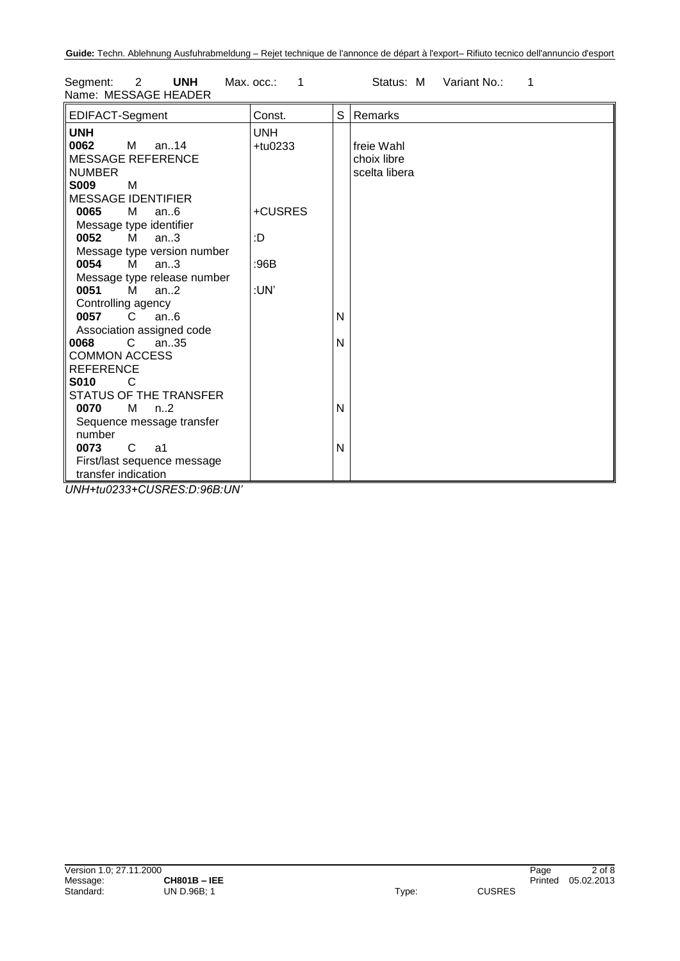| Segment:<br>$\overline{\phantom{a}}$ 2<br><b>UNH</b><br>Name: MESSAGE HEADER                                                                                                                                                                                                 | Max. $occ.: 1$           |   | Status: M                                  | Variant No.: |  |
|------------------------------------------------------------------------------------------------------------------------------------------------------------------------------------------------------------------------------------------------------------------------------|--------------------------|---|--------------------------------------------|--------------|--|
| <b>EDIFACT-Segment</b>                                                                                                                                                                                                                                                       | Const.                   | S | Remarks                                    |              |  |
| <b>UNH</b><br>0062<br>M an14<br><b>MESSAGE REFERENCE</b><br><b>NUMBER</b><br><b>S009</b><br>M                                                                                                                                                                                | <b>UNH</b><br>$+$ tu0233 |   | freie Wahl<br>choix libre<br>scelta libera |              |  |
| <b>MESSAGE IDENTIFIER</b><br>0065<br>M<br>an $6$                                                                                                                                                                                                                             | +CUSRES                  |   |                                            |              |  |
| Message type identifier<br>0052<br>M<br>an $3$                                                                                                                                                                                                                               | :D                       |   |                                            |              |  |
| Message type version number<br>0054<br>M and the set of the set of the set of the set of the set of the set of the set of the set of the set of the set of the set of the set of the set of the set of the set of the set of the set of the set of the set of the set<br>an3 | :96B                     |   |                                            |              |  |
| Message type release number<br>0051<br>$M$ an2                                                                                                                                                                                                                               | :UN'                     |   |                                            |              |  |
| Controlling agency<br>0057<br>$\overline{C}$<br>an6                                                                                                                                                                                                                          |                          | N |                                            |              |  |
| Association assigned code<br>C.<br>an35<br>0068<br><b>COMMON ACCESS</b>                                                                                                                                                                                                      |                          | N |                                            |              |  |

N

N

*UNH+tu0233+CUSRES:D:96B:UN'*

STATUS OF THE TRANSFER

Sequence message transfer

First/last sequence message

**0070** M n..2

**0073** C a1

transfer indication

REFERENCE<br>**S010** C

number

**S010** C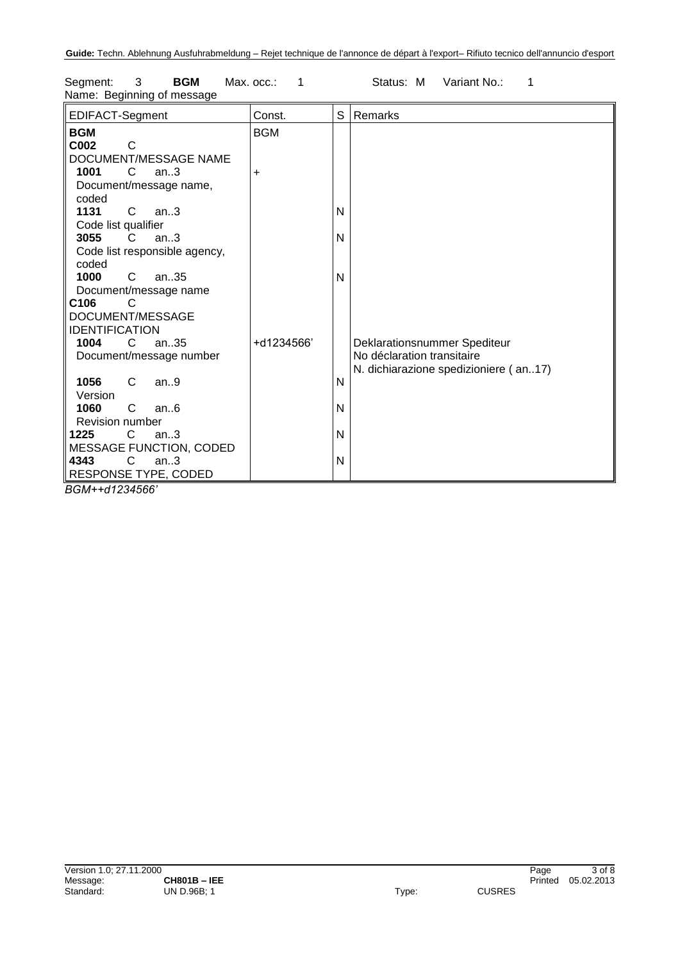| EDIFACT-Segment                     | Const.     | S | Remarks                               |
|-------------------------------------|------------|---|---------------------------------------|
| <b>BGM</b><br>C <sub>002</sub><br>C | <b>BGM</b> |   |                                       |
| DOCUMENT/MESSAGE NAME               |            |   |                                       |
| 1001<br>C<br>an.3                   | $\ddot{}$  |   |                                       |
| Document/message name,              |            |   |                                       |
| coded                               |            |   |                                       |
| 1131<br>$\mathbf{C}$<br>an.3        |            | N |                                       |
| Code list qualifier                 |            |   |                                       |
| 3055<br>an.3<br>C.                  |            | N |                                       |
| Code list responsible agency,       |            |   |                                       |
| coded                               |            |   |                                       |
| 1000<br>C<br>an35                   |            | N |                                       |
| Document/message name               |            |   |                                       |
| C <sub>106</sub><br>C               |            |   |                                       |
| DOCUMENT/MESSAGE                    |            |   |                                       |
| <b>IDENTIFICATION</b>               |            |   |                                       |
| 1004<br>C.<br>an35                  | +d1234566' |   | Deklarationsnummer Spediteur          |
| Document/message number             |            |   | No déclaration transitaire            |
|                                     |            |   | N. dichiarazione spedizioniere (an17) |
| 1056<br>C<br>an.9                   |            | N |                                       |
| Version                             |            |   |                                       |
| 1060<br>C<br>an.6                   |            | N |                                       |
| Revision number                     |            |   |                                       |
| $\mathbf{C}$<br>1225<br>an.3        |            | N |                                       |
| <b>MESSAGE FUNCTION, CODED</b>      |            |   |                                       |
| $\mathsf{C}$<br>4343<br>an.3        |            | N |                                       |
| RESPONSE TYPE, CODED                |            |   |                                       |

Segment: 3 **BGM** Max. occ.: 1 Status: M Variant No.: 1 Name: Beginning of message

*BGM++d1234566'*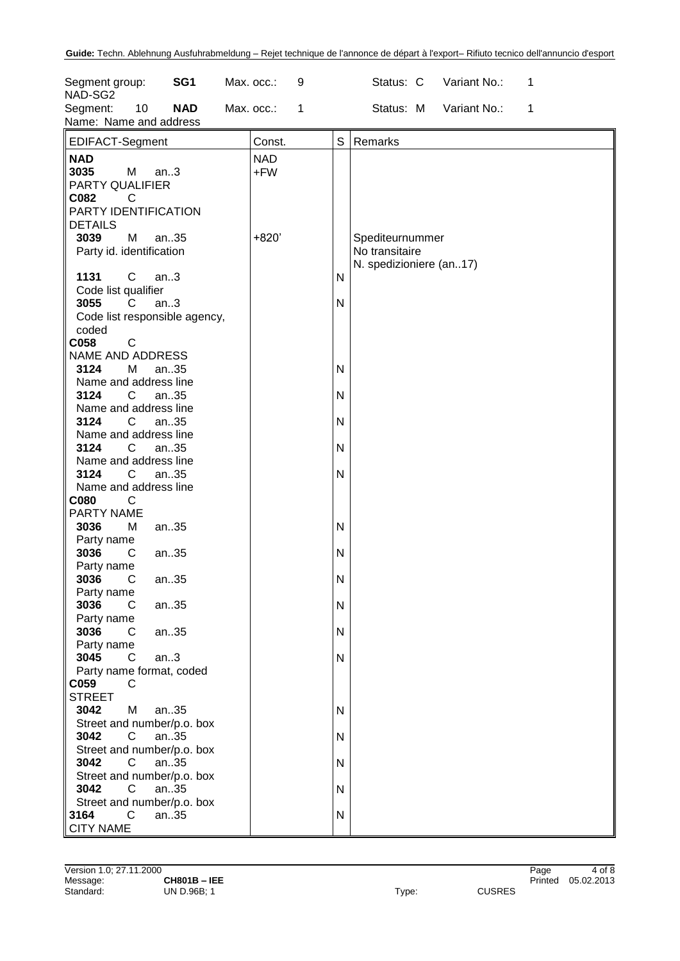| Segment group:<br>NAD-SG2                                                        |              | SG <sub>1</sub> | Max. occ.: |                   | 9 |        | Status: C                                                    | Variant No.: | 1 |  |
|----------------------------------------------------------------------------------|--------------|-----------------|------------|-------------------|---|--------|--------------------------------------------------------------|--------------|---|--|
| Segment:<br>Name: Name and address                                               | 10           | <b>NAD</b>      | Max. occ.: |                   | 1 |        | Status: M                                                    | Variant No.: | 1 |  |
| EDIFACT-Segment                                                                  |              |                 |            | Const.            |   | S      | Remarks                                                      |              |   |  |
| <b>NAD</b><br>3035<br>M<br>PARTY QUALIFIER<br>C082<br>C<br>PARTY IDENTIFICATION  | an.3         |                 |            | <b>NAD</b><br>+FW |   |        |                                                              |              |   |  |
| <b>DETAILS</b><br>3039<br>M<br>Party id. identification                          | an35         |                 |            | $+820'$           |   |        | Spediteurnummer<br>No transitaire<br>N. spedizioniere (an17) |              |   |  |
| 1131<br>$\mathsf{C}$<br>Code list qualifier                                      | an.3         |                 |            |                   |   | Ν      |                                                              |              |   |  |
| 3055<br>C<br>Code list responsible agency,<br>coded                              | an.3         |                 |            |                   |   | N      |                                                              |              |   |  |
| C058<br>C<br>NAME AND ADDRESS                                                    |              |                 |            |                   |   |        |                                                              |              |   |  |
| 3124<br>М<br>Name and address line                                               | an35         |                 |            |                   |   | Ν      |                                                              |              |   |  |
| 3124<br>C<br>Name and address line<br>3124<br>C                                  | an35<br>an35 |                 |            |                   |   | N<br>N |                                                              |              |   |  |
| Name and address line<br>3124<br>C                                               | an35         |                 |            |                   |   | N      |                                                              |              |   |  |
| Name and address line<br>3124<br>C<br>Name and address line                      | an35         |                 |            |                   |   | N      |                                                              |              |   |  |
| C080<br>С<br>PARTY NAME                                                          |              |                 |            |                   |   |        |                                                              |              |   |  |
| 3036<br>M<br>Party name<br>3036<br>C                                             | an35<br>an35 |                 |            |                   |   | Ν<br>Ν |                                                              |              |   |  |
| Party name<br>3036<br>C                                                          | an35         |                 |            |                   |   | N      |                                                              |              |   |  |
| Party name<br>3036<br>C<br>Party name                                            | an35         |                 |            |                   |   | N      |                                                              |              |   |  |
| 3036<br>C<br>Party name                                                          | an35         |                 |            |                   |   | N      |                                                              |              |   |  |
| 3045<br>C<br>Party name format, coded<br>C059<br>C                               | an.3         |                 |            |                   |   | N      |                                                              |              |   |  |
| <b>STREET</b><br>3042<br>M                                                       |              | an35            |            |                   |   | Ν      |                                                              |              |   |  |
| Street and number/p.o. box<br>$\mathsf{C}$<br>3042                               |              | an35            |            |                   |   | N      |                                                              |              |   |  |
| Street and number/p.o. box<br>3042<br>$\mathsf{C}$<br>Street and number/p.o. box |              | an35            |            |                   |   | N      |                                                              |              |   |  |
| 3042<br>C<br>Street and number/p.o. box                                          | an35         |                 |            |                   |   | N      |                                                              |              |   |  |
| $\mathsf{C}$<br>3164<br><b>CITY NAME</b>                                         |              | an35            |            |                   |   | N      |                                                              |              |   |  |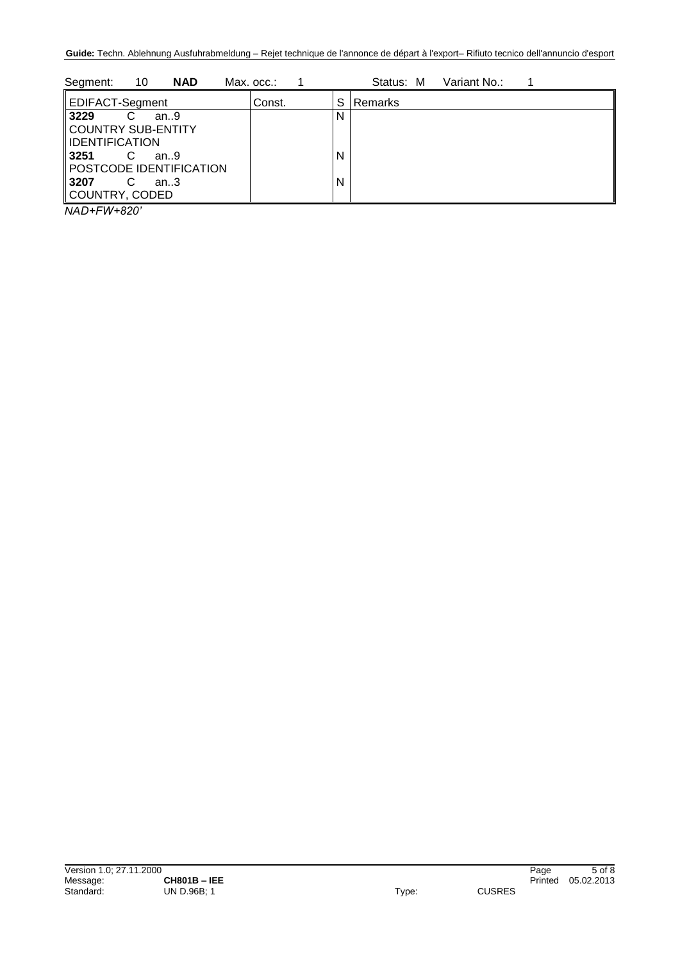| 10<br><b>NAD</b><br>Segment:            | Max. occ.: |   | Variant No.:<br>Status: M |
|-----------------------------------------|------------|---|---------------------------|
| EDIFACT-Segment                         | Const.     | S | Remarks                   |
| 3229<br>an.9                            |            | N |                           |
| COUNTRY SUB-ENTITY                      |            |   |                           |
| IDENTIFICATION                          |            |   |                           |
| 3251<br>an.9<br>POSTCODE IDENTIFICATION |            | N |                           |
| <b>3207</b><br>an.3                     |            | N |                           |
| COUNTRY, CODED                          |            |   |                           |

*NAD+FW+820'*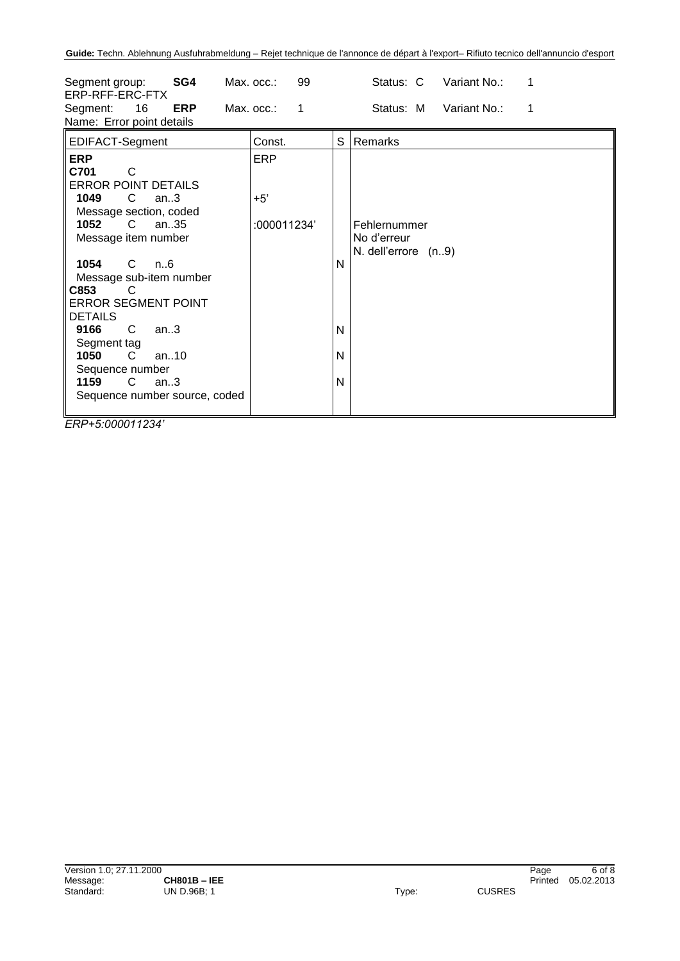| SG4<br>Segment group:<br>ERP-RFF-ERC-FTX<br>16<br><b>ERP</b><br>Segment:<br>Name: Error point details                                                                                                                                                                                                                                                                                                                   | Max. occ.:<br>99<br>$Max.$ $occ.$ :<br>$\mathbf{1}$ |                  | Status: C<br>Variant No.:<br>1<br>Status: M<br>Variant No.:<br>1 |
|-------------------------------------------------------------------------------------------------------------------------------------------------------------------------------------------------------------------------------------------------------------------------------------------------------------------------------------------------------------------------------------------------------------------------|-----------------------------------------------------|------------------|------------------------------------------------------------------|
| EDIFACT-Segment                                                                                                                                                                                                                                                                                                                                                                                                         | Const.                                              | S                | Remarks                                                          |
| <b>ERP</b><br>C701<br>C<br><b>ERROR POINT DETAILS</b><br>1049<br>$\mathsf{C}$<br>an.3<br>Message section, coded<br>1052<br>$\mathbf{C}$<br>an35<br>Message item number<br>1054<br>C.<br>n6<br>Message sub-item number<br>C853<br>C<br><b>ERROR SEGMENT POINT</b><br><b>DETAILS</b><br>9166<br>C<br>an.3<br>Segment tag<br>C.<br>1050<br>an $.10$<br>Sequence number<br>1159<br>$C$ an3<br>Sequence number source, coded | <b>ERP</b><br>$+5'$<br>:000011234'                  | N<br>N<br>N<br>N | Fehlernummer<br>No d'erreur<br>N. dell'errore (n9)               |

*ERP+5:000011234'*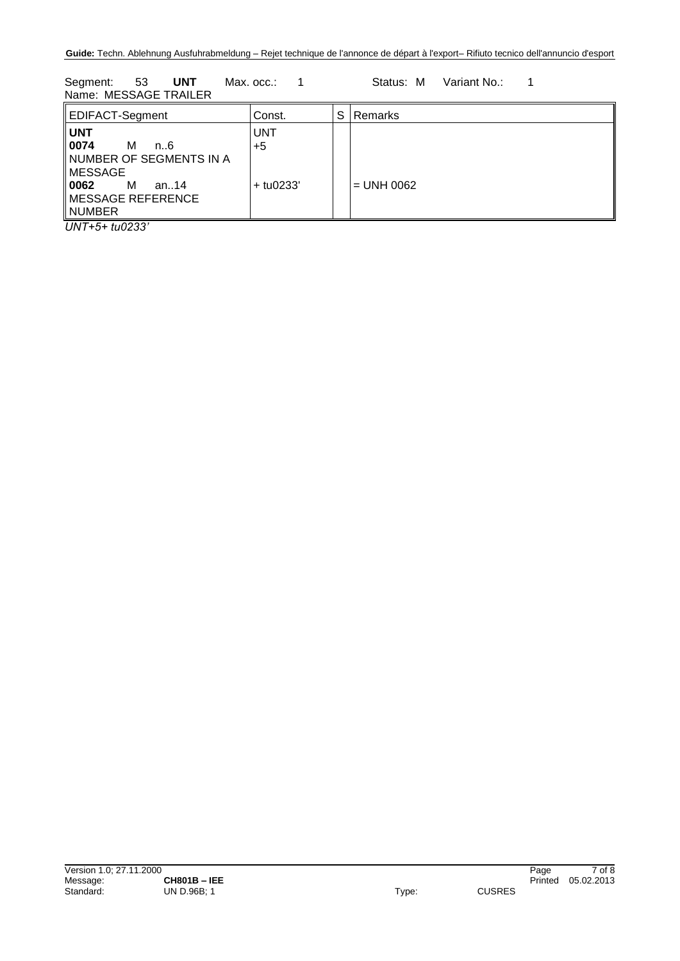Segment: 53 **UNT** Max. occ.: 1 Status: M Variant No.: 1 Name: MESSAGE TRAILER

| EDIFACT-Segment                                                                                                                             | Const.                            | S | Remarks      |
|---------------------------------------------------------------------------------------------------------------------------------------------|-----------------------------------|---|--------------|
| <b>UNT</b><br>0074<br>м<br>n. 6<br>∥NUMBER OF SEGMENTS IN A<br>∥MESSAGE<br>   0062<br>M<br>an14<br>$\parallel$ MESSAGE REFERENCE<br>∥NUMBER | <b>UNT</b><br>$+5$<br>$+$ tu0233' |   | $=$ UNH 0062 |

*UNT+5+ tu0233'*